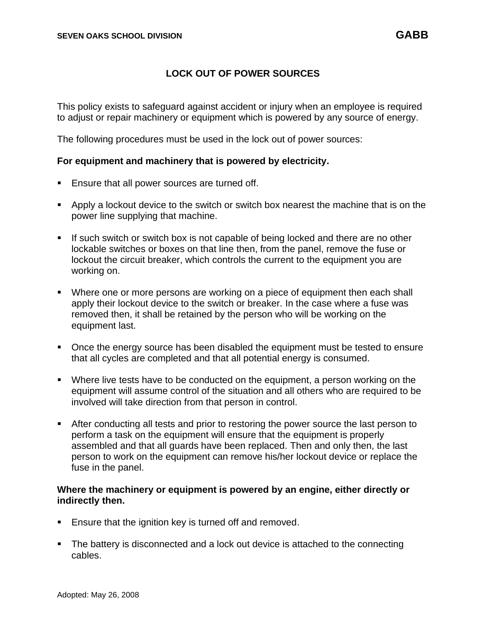## **LOCK OUT OF POWER SOURCES**

This policy exists to safeguard against accident or injury when an employee is required to adjust or repair machinery or equipment which is powered by any source of energy.

The following procedures must be used in the lock out of power sources:

## **For equipment and machinery that is powered by electricity.**

- **Ensure that all power sources are turned off.**
- **EXT** Apply a lockout device to the switch or switch box nearest the machine that is on the power line supplying that machine.
- **.** If such switch or switch box is not capable of being locked and there are no other lockable switches or boxes on that line then, from the panel, remove the fuse or lockout the circuit breaker, which controls the current to the equipment you are working on.
- Where one or more persons are working on a piece of equipment then each shall apply their lockout device to the switch or breaker. In the case where a fuse was removed then, it shall be retained by the person who will be working on the equipment last.
- Once the energy source has been disabled the equipment must be tested to ensure that all cycles are completed and that all potential energy is consumed.
- Where live tests have to be conducted on the equipment, a person working on the equipment will assume control of the situation and all others who are required to be involved will take direction from that person in control.
- **EXECT** After conducting all tests and prior to restoring the power source the last person to perform a task on the equipment will ensure that the equipment is properly assembled and that all guards have been replaced. Then and only then, the last person to work on the equipment can remove his/her lockout device or replace the fuse in the panel.

## **Where the machinery or equipment is powered by an engine, either directly or indirectly then.**

- Ensure that the ignition key is turned off and removed.
- The battery is disconnected and a lock out device is attached to the connecting cables.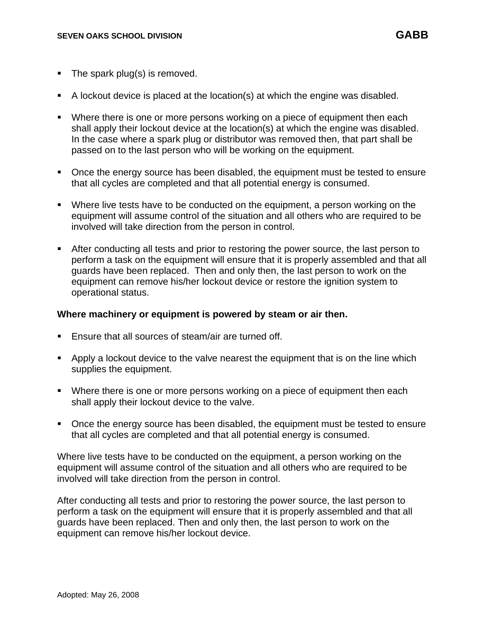- **•** The spark plug(s) is removed.
- A lockout device is placed at the location(s) at which the engine was disabled.
- Where there is one or more persons working on a piece of equipment then each shall apply their lockout device at the location(s) at which the engine was disabled. In the case where a spark plug or distributor was removed then, that part shall be passed on to the last person who will be working on the equipment.
- Once the energy source has been disabled, the equipment must be tested to ensure that all cycles are completed and that all potential energy is consumed.
- Where live tests have to be conducted on the equipment, a person working on the equipment will assume control of the situation and all others who are required to be involved will take direction from the person in control.
- After conducting all tests and prior to restoring the power source, the last person to perform a task on the equipment will ensure that it is properly assembled and that all guards have been replaced. Then and only then, the last person to work on the equipment can remove his/her lockout device or restore the ignition system to operational status.

#### **Where machinery or equipment is powered by steam or air then.**

- Ensure that all sources of steam/air are turned off.
- **•** Apply a lockout device to the valve nearest the equipment that is on the line which supplies the equipment.
- Where there is one or more persons working on a piece of equipment then each shall apply their lockout device to the valve.
- Once the energy source has been disabled, the equipment must be tested to ensure that all cycles are completed and that all potential energy is consumed.

Where live tests have to be conducted on the equipment, a person working on the equipment will assume control of the situation and all others who are required to be involved will take direction from the person in control.

After conducting all tests and prior to restoring the power source, the last person to perform a task on the equipment will ensure that it is properly assembled and that all guards have been replaced. Then and only then, the last person to work on the equipment can remove his/her lockout device.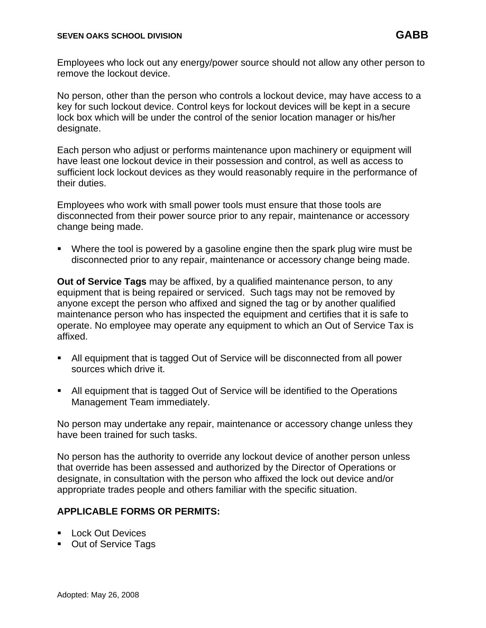Employees who lock out any energy/power source should not allow any other person to remove the lockout device.

No person, other than the person who controls a lockout device, may have access to a key for such lockout device. Control keys for lockout devices will be kept in a secure lock box which will be under the control of the senior location manager or his/her designate.

Each person who adjust or performs maintenance upon machinery or equipment will have least one lockout device in their possession and control, as well as access to sufficient lock lockout devices as they would reasonably require in the performance of their duties.

Employees who work with small power tools must ensure that those tools are disconnected from their power source prior to any repair, maintenance or accessory change being made.

■ Where the tool is powered by a gasoline engine then the spark plug wire must be disconnected prior to any repair, maintenance or accessory change being made.

**Out of Service Tags** may be affixed, by a qualified maintenance person, to any equipment that is being repaired or serviced. Such tags may not be removed by anyone except the person who affixed and signed the tag or by another qualified maintenance person who has inspected the equipment and certifies that it is safe to operate. No employee may operate any equipment to which an Out of Service Tax is affixed.

- All equipment that is tagged Out of Service will be disconnected from all power sources which drive it.
- All equipment that is tagged Out of Service will be identified to the Operations Management Team immediately.

No person may undertake any repair, maintenance or accessory change unless they have been trained for such tasks.

No person has the authority to override any lockout device of another person unless that override has been assessed and authorized by the Director of Operations or designate, in consultation with the person who affixed the lock out device and/or appropriate trades people and others familiar with the specific situation.

## **APPLICABLE FORMS OR PERMITS:**

- Lock Out Devices
- Out of Service Tags